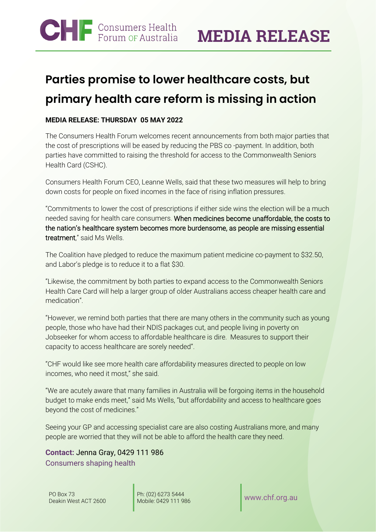# **Parties promise to lower healthcare costs, but primary health care reform is missing in action**

### **MEDIA RELEASE: THURSDAY 05 MAY 2022**

The Consumers Health Forum welcomes recent announcements from both major parties that the cost of prescriptions will be eased by reducing the PBS co -payment. In addition, both parties have committed to raising the threshold for access to the Commonwealth Seniors Health Card (CSHC).

Consumers Health Forum CEO, Leanne Wells, said that these two measures will help to bring down costs for people on fixed incomes in the face of rising inflation pressures.

"Commitments to lower the cost of prescriptions if either side wins the election will be a much needed saving for health care consumers. When medicines become unaffordable, the costs to the nation's healthcare system becomes more burdensome, as people are missing essential treatment," said Ms Wells.

The Coalition have pledged to reduce the maximum patient medicine co-payment to \$32.50, and Labor's pledge is to reduce it to a flat \$30.

"Likewise, the commitment by both parties to expand access to the Commonwealth Seniors Health Care Card will help a larger group of older Australians access cheaper health care and medication".

"However, we remind both parties that there are many others in the community such as young people, those who have had their NDIS packages cut, and people living in poverty on Jobseeker for whom access to affordable healthcare is dire. Measures to support their capacity to access healthcare are sorely needed".

"CHF would like see more health care affordability measures directed to people on low incomes, who need it most," she said.

"We are acutely aware that many families in Australia will be forgoing items in the household budget to make ends meet," said Ms Wells, "but affordability and access to healthcare goes beyond the cost of medicines."

Seeing your GP and accessing specialist care are also costing Australians more, and many people are worried that they will not be able to afford the health care they need.

**Contact:** Jenna Gray, 0429 111 986 Consumers shaping health

Ph: (02) 6273 5444 Mobile: 0429 111 986 [www.chf.org.au](http://www.chf.org.au/)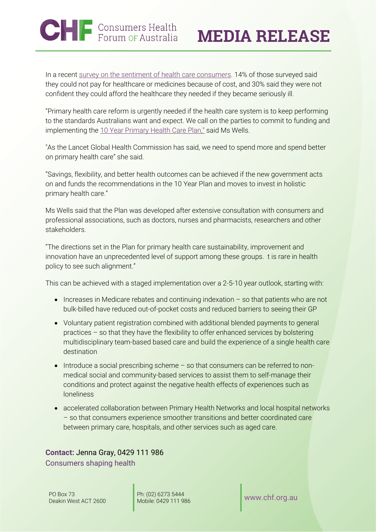# **CHF** Consumers Health

In a recent [survey on the sentiment of health care consumers.](https://healthsystemsustainability.com.au/the-voice-of-australian-health-consumers/) 14% of those surveyed said they could not pay for healthcare or medicines because of cost, and 30% said they were not confident they could afford the healthcare they needed if they became seriously ill.

"Primary health care reform is urgently needed if the health care system is to keep performing to the standards Australians want and expect. We call on the parties to commit to funding and implementing th[e 10 Year Primary Health Care Plan,"](https://www.health.gov.au/resources/publications/australias-primary-health-care-10-year-plan-2022-2032) said Ms Wells.

"As the Lancet Global Health Commission has said, we need to spend more and spend better on primary health care" she said.

"Savings, flexibility, and better health outcomes can be achieved if the new government acts on and funds the recommendations in the 10 Year Plan and moves to invest in holistic primary health care."

Ms Wells said that the Plan was developed after extensive consultation with consumers and professional associations, such as doctors, nurses and pharmacists, researchers and other stakeholders.

"The directions set in the Plan for primary health care sustainability, improvement and innovation have an unprecedented level of support among these groups. t is rare in health policy to see such alignment."

This can be achieved with a staged implementation over a 2-5-10 year outlook, starting with:

- Increases in Medicare rebates and continuing indexation so that patients who are not bulk-billed have reduced out-of-pocket costs and reduced barriers to seeing their GP
- Voluntary patient registration combined with additional blended payments to general practices – so that they have the flexibility to offer enhanced services by bolstering multidisciplinary team-based based care and build the experience of a single health care destination
- Introduce a social prescribing scheme so that consumers can be referred to nonmedical social and community-based services to assist them to self-manage their conditions and protect against the negative health effects of experiences such as loneliness
- accelerated collaboration between Primary Health Networks and local hospital networks – so that consumers experience smoother transitions and better coordinated care between primary care, hospitals, and other services such as aged care.

## **Contact:** Jenna Gray, 0429 111 986

Consumers shaping health